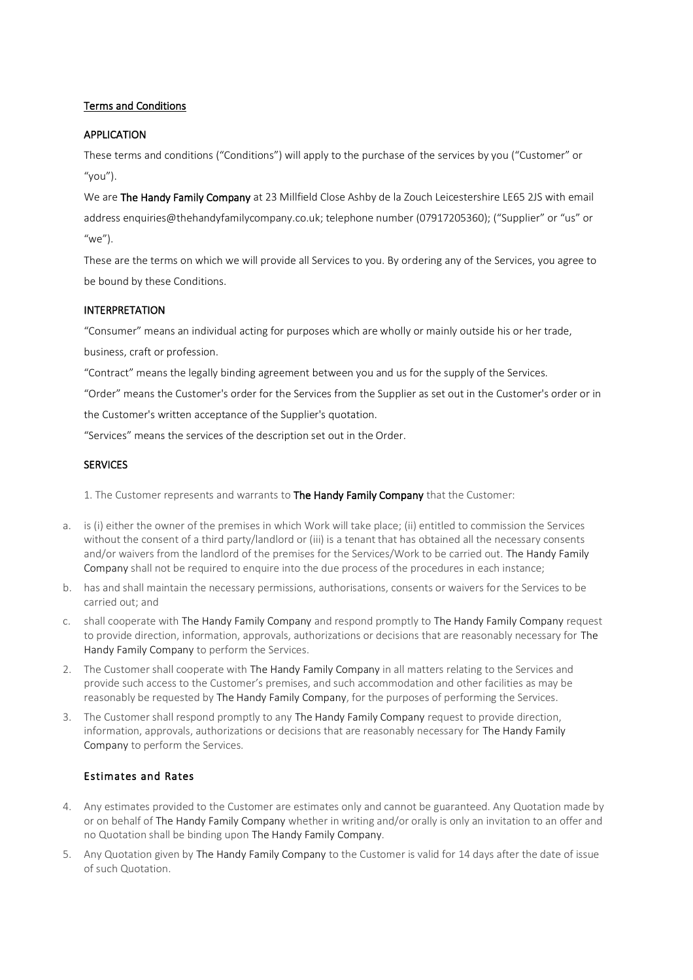# Terms and Conditions

# APPLICATION

These terms and conditions ("Conditions") will apply to the purchase of the services by you ("Customer" or  $''$ vou").

We are The Handy Family Company at 23 Millfield Close Ashby de la Zouch Leicestershire LE65 2JS with email address enquiries@thehandyfamilycompany.co.uk; telephone number (07917205360); ("Supplier" or "us" or  $^{\prime\prime}$ We $^{\prime\prime}$ ).

These are the terms on which we will provide all Services to you. By ordering any of the Services, you agree to be bound by these Conditions.

## INTERPRETATION

"Consumer" means an individual acting for purposes which are wholly or mainly outside his or her trade,

business, craft or profession.

"Contract" means the legally binding agreement between you and us for the supply of the Services.

"Order" means the Customer's order for the Services from the Supplier as set out in the Customer's order or in

the Customer's written acceptance of the Supplier's quotation.

"Services" means the services of the description set out in the Order.

#### **SERVICES**

1. The Customer represents and warrants to The Handy Family Company that the Customer:

- a. is (i) either the owner of the premises in which Work will take place; (ii) entitled to commission the Services without the consent of a third party/landlord or (iii) is a tenant that has obtained all the necessary consents and/or waivers from the landlord of the premises for the Services/Work to be carried out. The Handy Family Company shall not be required to enquire into the due process of the procedures in each instance;
- b. has and shall maintain the necessary permissions, authorisations, consents or waivers for the Services to be carried out; and
- c. shall cooperate with The Handy Family Company and respond promptly to The Handy Family Company request to provide direction, information, approvals, authorizations or decisions that are reasonably necessary for The Handy Family Company to perform the Services.
- 2. The Customer shall cooperate with The Handy Family Company in all matters relating to the Services and provide such access to the Customer's premises, and such accommodation and other facilities as may be reasonably be requested by The Handy Family Company, for the purposes of performing the Services.
- 3. The Customer shall respond promptly to any The Handy Family Company request to provide direction, information, approvals, authorizations or decisions that are reasonably necessary for The Handy Family Company to perform the Services.

## Estimates and Rates

- 4. Any estimates provided to the Customer are estimates only and cannot be guaranteed. Any Quotation made by or on behalf of The Handy Family Company whether in writing and/or orally is only an invitation to an offer and no Quotation shall be binding upon The Handy Family Company.
- 5. Any Quotation given by The Handy Family Company to the Customer is valid for 14 days after the date of issue of such Quotation.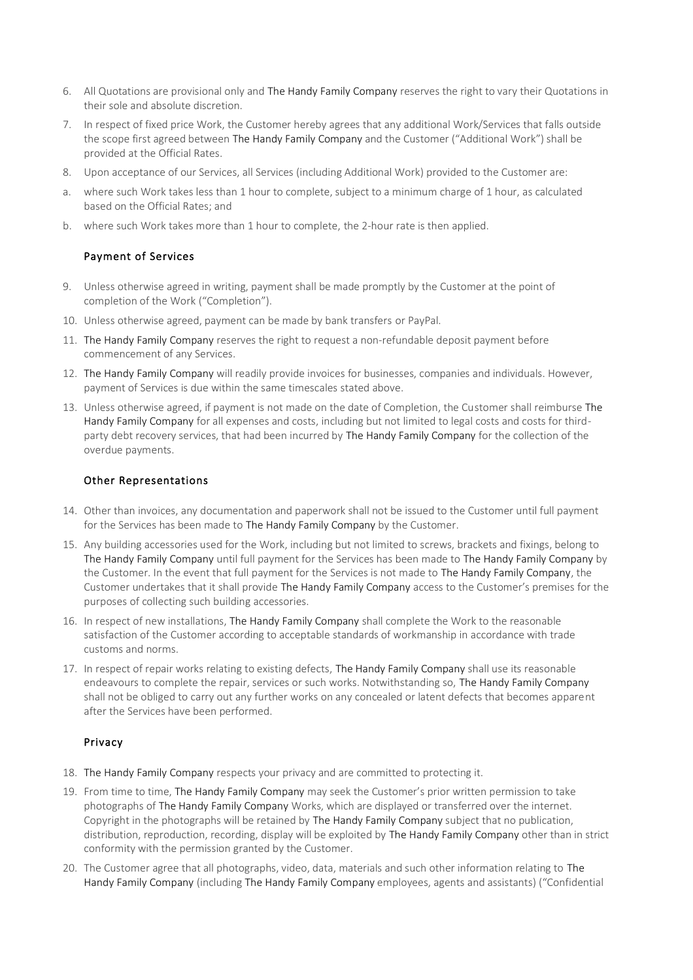- 6. All Quotations are provisional only and The Handy Family Company reserves the right to vary their Quotations in their sole and absolute discretion.
- 7. In respect of fixed price Work, the Customer hereby agrees that any additional Work/Services that falls outside the scope first agreed between The Handy Family Company and the Customer ("Additional Work") shall be provided at the Official Rates.
- 8. Upon acceptance of our Services, all Services (including Additional Work) provided to the Customer are:
- where such Work takes less than 1 hour to complete, subject to a minimum charge of 1 hour, as calculated based on the Official Rates; and
- b. where such Work takes more than 1 hour to complete, the 2-hour rate is then applied.

## Payment of Services

- 9. Unless otherwise agreed in writing, payment shall be made promptly by the Customer at the point of completion of the Work ("Completion").
- 10. Unless otherwise agreed, payment can be made by bank transfers or PayPal.
- 11. The Handy Family Company reserves the right to request a non-refundable deposit payment before commencement of any Services.
- 12. The Handy Family Company will readily provide invoices for businesses, companies and individuals. However, payment of Services is due within the same timescales stated above.
- 13. Unless otherwise agreed, if payment is not made on the date of Completion, the Customer shall reimburse The Handy Family Company for all expenses and costs, including but not limited to legal costs and costs for thirdparty debt recovery services, that had been incurred by The Handy Family Company for the collection of the overdue payments.

#### Other Representations

- 14. Other than invoices, any documentation and paperwork shall not be issued to the Customer until full payment for the Services has been made to The Handy Family Company by the Customer.
- 15. Any building accessories used for the Work, including but not limited to screws, brackets and fixings, belong to The Handy Family Company until full payment for the Services has been made to The Handy Family Company by the Customer. In the event that full payment for the Services is not made to The Handy Family Company, the Customer undertakes that it shall provide The Handy Family Company access to the Customer's premises for the purposes of collecting such building accessories.
- 16. In respect of new installations, The Handy Family Company shall complete the Work to the reasonable satisfaction of the Customer according to acceptable standards of workmanship in accordance with trade customs and norms.
- 17. In respect of repair works relating to existing defects, The Handy Family Company shall use its reasonable endeavours to complete the repair, services or such works. Notwithstanding so, The Handy Family Company shall not be obliged to carry out any further works on any concealed or latent defects that becomes apparent after the Services have been performed.

## Privacy

- 18. The Handy Family Company respects your privacy and are committed to protecting it.
- 19. From time to time, The Handy Family Company may seek the Customer's prior written permission to take photographs of The Handy Family Company Works, which are displayed or transferred over the internet. Copyright in the photographs will be retained by The Handy Family Company subject that no publication, distribution, reproduction, recording, display will be exploited by The Handy Family Company other than in strict conformity with the permission granted by the Customer.
- 20. The Customer agree that all photographs, video, data, materials and such other information relating to The Handy Family Company (including The Handy Family Company employees, agents and assistants) ("Confidential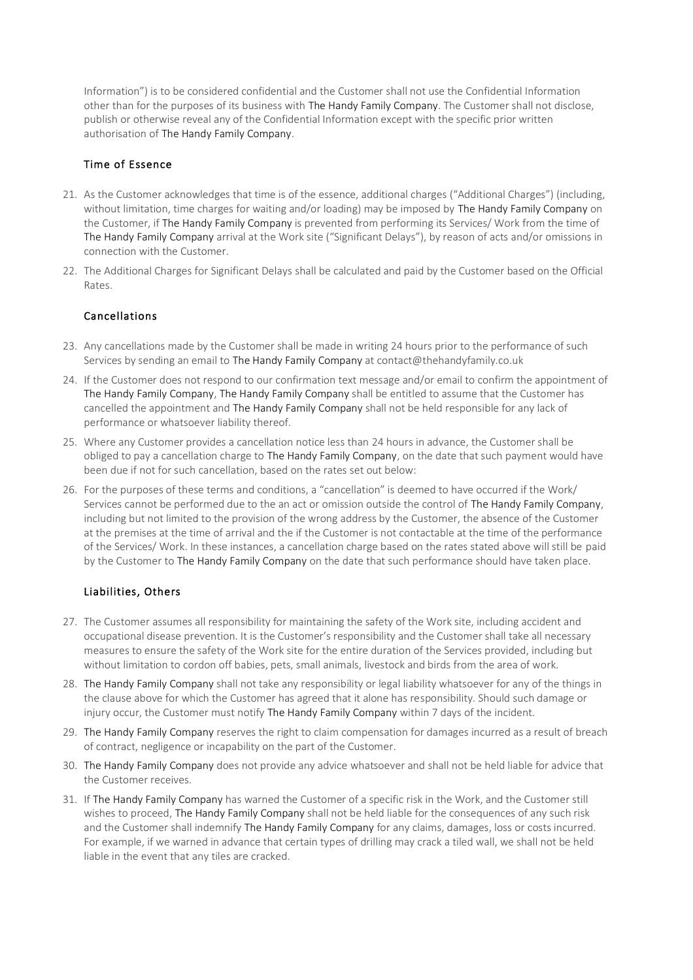Information") is to be considered confidential and the Customer shall not use the Confidential Information other than for the purposes of its business with The Handy Family Company. The Customer shall not disclose, publish or otherwise reveal any of the Confidential Information except with the specific prior written authorisation of The Handy Family Company.

## Time of Essence

- 21. As the Customer acknowledges that time is of the essence, additional charges ("Additional Charges") (including, without limitation, time charges for waiting and/or loading) may be imposed by The Handy Family Company on the Customer, if The Handy Family Company is prevented from performing its Services/ Work from the time of The Handy Family Company arrival at the Work site ("Significant Delays"), by reason of acts and/or omissions in connection with the Customer.
- 22. The Additional Charges for Significant Delays shall be calculated and paid by the Customer based on the Official Rates.

# Cancellations

- 23. Any cancellations made by the Customer shall be made in writing 24 hours prior to the performance of such Services by sending an email to The Handy Family Company at contact@thehandyfamily.co.uk
- 24. If the Customer does not respond to our confirmation text message and/or email to confirm the appointment of The Handy Family Company, The Handy Family Company shall be entitled to assume that the Customer has cancelled the appointment and The Handy Family Company shall not be held responsible for any lack of performance or whatsoever liability thereof.
- 25. Where any Customer provides a cancellation notice less than 24 hours in advance, the Customer shall be obliged to pay a cancellation charge to The Handy Family Company, on the date that such payment would have been due if not for such cancellation, based on the rates set out below:
- 26. For the purposes of these terms and conditions, a "cancellation" is deemed to have occurred if the Work/ Services cannot be performed due to the an act or omission outside the control of The Handy Family Company, including but not limited to the provision of the wrong address by the Customer, the absence of the Customer at the premises at the time of arrival and the if the Customer is not contactable at the time of the performance of the Services/ Work. In these instances, a cancellation charge based on the rates stated above will still be paid by the Customer to The Handy Family Company on the date that such performance should have taken place.

# Liabilities, Others

- 27. The Customer assumes all responsibility for maintaining the safety of the Work site, including accident and occupational disease prevention. It is the Customer's responsibility and the Customer shall take all necessary measures to ensure the safety of the Work site for the entire duration of the Services provided, including but without limitation to cordon off babies, pets, small animals, livestock and birds from the area of work.
- 28. The Handy Family Company shall not take any responsibility or legal liability whatsoever for any of the things in the clause above for which the Customer has agreed that it alone has responsibility. Should such damage or injury occur, the Customer must notify The Handy Family Company within 7 days of the incident.
- 29. The Handy Family Company reserves the right to claim compensation for damages incurred as a result of breach of contract, negligence or incapability on the part of the Customer.
- 30. The Handy Family Company does not provide any advice whatsoever and shall not be held liable for advice that the Customer receives.
- 31. If The Handy Family Company has warned the Customer of a specific risk in the Work, and the Customer still wishes to proceed, The Handy Family Company shall not be held liable for the consequences of any such risk and the Customer shall indemnify The Handy Family Company for any claims, damages, loss or costs incurred. For example, if we warned in advance that certain types of drilling may crack a tiled wall, we shall not be held liable in the event that any tiles are cracked.